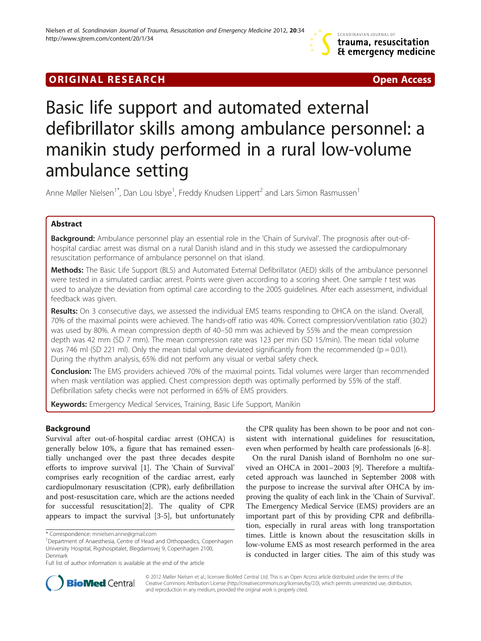## <span id="page-0-0"></span>**ORIGINAL RESEARCH CONSUMING A RESEARCH CONSUMING A RESEARCH**



# Basic life support and automated external defibrillator skills among ambulance personnel: a manikin study performed in a rural low-volume ambulance setting

Anne Møller Nielsen<sup>1\*</sup>, Dan Lou Isbye<sup>1</sup>, Freddy Knudsen Lippert<sup>2</sup> and Lars Simon Rasmussen<sup>1</sup>

## Abstract

**Background:** Ambulance personnel play an essential role in the 'Chain of Survival'. The prognosis after out-ofhospital cardiac arrest was dismal on a rural Danish island and in this study we assessed the cardiopulmonary resuscitation performance of ambulance personnel on that island.

Methods: The Basic Life Support (BLS) and Automated External Defibrillator (AED) skills of the ambulance personnel were tested in a simulated cardiac arrest. Points were given according to a scoring sheet. One sample t test was used to analyze the deviation from optimal care according to the 2005 guidelines. After each assessment, individual feedback was given.

Results: On 3 consecutive days, we assessed the individual EMS teams responding to OHCA on the island. Overall, 70% of the maximal points were achieved. The hands-off ratio was 40%. Correct compression/ventilation ratio (30:2) was used by 80%. A mean compression depth of 40–50 mm was achieved by 55% and the mean compression depth was 42 mm (SD 7 mm). The mean compression rate was 123 per min (SD 15/min). The mean tidal volume was 746 ml (SD 221 ml). Only the mean tidal volume deviated significantly from the recommended ( $p = 0.01$ ). During the rhythm analysis, 65% did not perform any visual or verbal safety check.

**Conclusion:** The EMS providers achieved 70% of the maximal points. Tidal volumes were larger than recommended when mask ventilation was applied. Chest compression depth was optimally performed by 55% of the staff. Defibrillation safety checks were not performed in 65% of EMS providers.

Keywords: Emergency Medical Services, Training, Basic Life Support, Manikin

## Background

Survival after out-of-hospital cardiac arrest (OHCA) is generally below 10%, a figure that has remained essentially unchanged over the past three decades despite efforts to improve survival [\[1](#page-6-0)]. The 'Chain of Survival' comprises early recognition of the cardiac arrest, early cardiopulmonary resuscitation (CPR), early defibrillation and post-resuscitation care, which are the actions needed for successful resuscitation[\[2\]](#page-6-0). The quality of CPR appears to impact the survival [\[3](#page-6-0)-[5\]](#page-6-0), but unfortunately

the CPR quality has been shown to be poor and not consistent with international guidelines for resuscitation, even when performed by health care professionals [\[6-8](#page-6-0)].

On the rural Danish island of Bornholm no one survived an OHCA in 2001–2003 [[9\]](#page-6-0). Therefore a multifaceted approach was launched in September 2008 with the purpose to increase the survival after OHCA by improving the quality of each link in the 'Chain of Survival'. The Emergency Medical Service (EMS) providers are an important part of this by providing CPR and defibrillation, especially in rural areas with long transportation times. Little is known about the resuscitation skills in low-volume EMS as most research performed in the area is conducted in larger cities. The aim of this study was



© 2012 Møller Nielsen et al.; licensee BioMed Central Ltd. This is an Open Access article distributed under the terms of the Creative Commons Attribution License (http://creativecommons.org/licenses/by/2.0), which permits unrestricted use, distribution, and reproduction in any medium, provided the original work is properly cited.

<sup>\*</sup> Correspondence: [mnielsen.anne@gmail.com](mailto:mnielsen.anne@gmail.com) <sup>1</sup>

<sup>&</sup>lt;sup>1</sup>Department of Anaesthesia, Centre of Head and Orthopaedics, Copenhagen University Hospital, Rigshospitalet, Blegdamsvej 9, Copenhagen 2100, Denmark

Full list of author information is available at the end of the article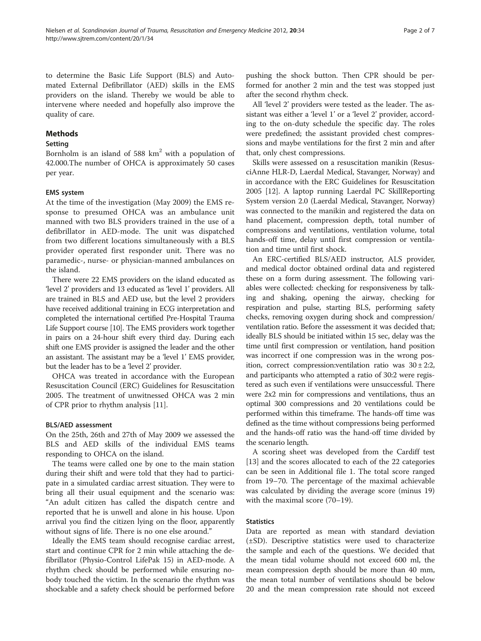to determine the Basic Life Support (BLS) and Automated External Defibrillator (AED) skills in the EMS providers on the island. Thereby we would be able to intervene where needed and hopefully also improve the quality of care.

## Methods

## **Setting**

Bornholm is an island of 588  $km^2$  with a population of 42.000.The number of OHCA is approximately 50 cases per year.

#### EMS system

At the time of the investigation (May 2009) the EMS response to presumed OHCA was an ambulance unit manned with two BLS providers trained in the use of a defibrillator in AED-mode. The unit was dispatched from two different locations simultaneously with a BLS provider operated first responder unit. There was no paramedic-, nurse- or physician-manned ambulances on the island.

There were 22 EMS providers on the island educated as 'level 2' providers and 13 educated as 'level 1' providers. All are trained in BLS and AED use, but the level 2 providers have received additional training in ECG interpretation and completed the international certified Pre-Hospital Trauma Life Support course [\[10\]](#page-6-0). The EMS providers work together in pairs on a 24-hour shift every third day. During each shift one EMS provider is assigned the leader and the other an assistant. The assistant may be a 'level 1' EMS provider, but the leader has to be a 'level 2' provider.

OHCA was treated in accordance with the European Resuscitation Council (ERC) Guidelines for Resuscitation 2005. The treatment of unwitnessed OHCA was 2 min of CPR prior to rhythm analysis [[11\]](#page-6-0).

#### BLS/AED assessment

On the 25th, 26th and 27th of May 2009 we assessed the BLS and AED skills of the individual EMS teams responding to OHCA on the island.

The teams were called one by one to the main station during their shift and were told that they had to participate in a simulated cardiac arrest situation. They were to bring all their usual equipment and the scenario was: "An adult citizen has called the dispatch centre and reported that he is unwell and alone in his house. Upon arrival you find the citizen lying on the floor, apparently without signs of life. There is no one else around."

Ideally the EMS team should recognise cardiac arrest, start and continue CPR for 2 min while attaching the defibrillator (Physio-Control LifePak 15) in AED-mode. A rhythm check should be performed while ensuring nobody touched the victim. In the scenario the rhythm was shockable and a safety check should be performed before

pushing the shock button. Then CPR should be performed for another 2 min and the test was stopped just after the second rhythm check.

All 'level 2' providers were tested as the leader. The assistant was either a 'level 1' or a 'level 2' provider, according to the on-duty schedule the specific day. The roles were predefined; the assistant provided chest compressions and maybe ventilations for the first 2 min and after that, only chest compressions.

Skills were assessed on a resuscitation manikin (ResusciAnne HLR-D, Laerdal Medical, Stavanger, Norway) and in accordance with the ERC Guidelines for Resuscitation 2005 [[12\]](#page-6-0). A laptop running Laerdal PC SkillReporting System version 2.0 (Laerdal Medical, Stavanger, Norway) was connected to the manikin and registered the data on hand placement, compression depth, total number of compressions and ventilations, ventilation volume, total hands-off time, delay until first compression or ventilation and time until first shock.

An ERC-certified BLS/AED instructor, ALS provider, and medical doctor obtained ordinal data and registered these on a form during assessment. The following variables were collected: checking for responsiveness by talking and shaking, opening the airway, checking for respiration and pulse, starting BLS, performing safety checks, removing oxygen during shock and compression/ ventilation ratio. Before the assessment it was decided that; ideally BLS should be initiated within 15 sec, delay was the time until first compression or ventilation, hand position was incorrect if one compression was in the wrong position, correct compression: ventilation ratio was  $30 \pm 2:2$ , and participants who attempted a ratio of 30:2 were registered as such even if ventilations were unsuccessful. There were 2x2 min for compressions and ventilations, thus an optimal 300 compressions and 20 ventilations could be performed within this timeframe. The hands-off time was defined as the time without compressions being performed and the hands-off ratio was the hand-off time divided by the scenario length.

A scoring sheet was developed from the Cardiff test [[13\]](#page-6-0) and the scores allocated to each of the 22 categories can be seen in [Additional file 1.](#page-0-0) The total score ranged from 19–70. The percentage of the maximal achievable was calculated by dividing the average score (minus 19) with the maximal score (70–19).

#### **Statistics**

Data are reported as mean with standard deviation (±SD). Descriptive statistics were used to characterize the sample and each of the questions. We decided that the mean tidal volume should not exceed 600 ml, the mean compression depth should be more than 40 mm, the mean total number of ventilations should be below 20 and the mean compression rate should not exceed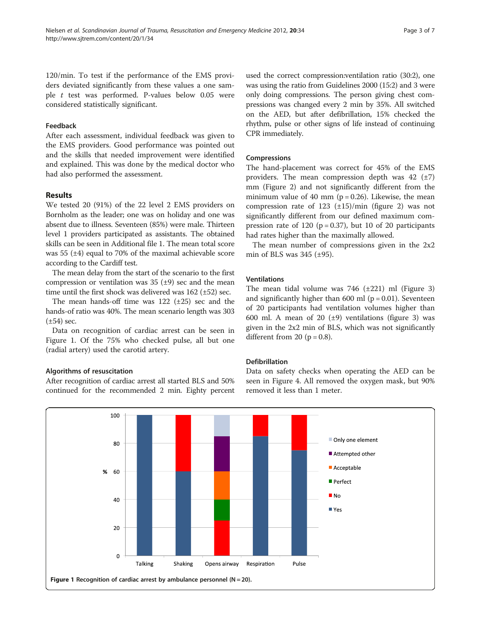120/min. To test if the performance of the EMS providers deviated significantly from these values a one sample t test was performed. P-values below 0.05 were considered statistically significant.

## Feedback

After each assessment, individual feedback was given to the EMS providers. Good performance was pointed out and the skills that needed improvement were identified and explained. This was done by the medical doctor who had also performed the assessment.

## Results

We tested 20 (91%) of the 22 level 2 EMS providers on Bornholm as the leader; one was on holiday and one was absent due to illness. Seventeen (85%) were male. Thirteen level 1 providers participated as assistants. The obtained skills can be seen in [Additional file 1.](#page-0-0) The mean total score was 55 (±4) equal to 70% of the maximal achievable score according to the Cardiff test.

The mean delay from the start of the scenario to the first compression or ventilation was  $35$  ( $\pm$ 9) sec and the mean time until the first shock was delivered was 162 (±52) sec.

The mean hands-off time was  $122$  ( $\pm 25$ ) sec and the hands-of ratio was 40%. The mean scenario length was 303  $(\pm 54)$  sec.

Data on recognition of cardiac arrest can be seen in Figure 1. Of the 75% who checked pulse, all but one (radial artery) used the carotid artery.

## Algorithms of resuscitation

After recognition of cardiac arrest all started BLS and 50% continued for the recommended 2 min. Eighty percent

used the correct compression:ventilation ratio (30:2), one was using the ratio from Guidelines 2000 (15:2) and 3 were only doing compressions. The person giving chest compressions was changed every 2 min by 35%. All switched on the AED, but after defibrillation, 15% checked the rhythm, pulse or other signs of life instead of continuing CPR immediately.

## Compressions

The hand-placement was correct for 45% of the EMS providers. The mean compression depth was  $42$  ( $\pm$ 7) mm (Figure [2\)](#page-3-0) and not significantly different from the minimum value of 40 mm  $(p = 0.26)$ . Likewise, the mean compression rate of 123  $(\pm 15)/$ min (figure [2\)](#page-3-0) was not significantly different from our defined maximum compression rate of 120 ( $p = 0.37$ ), but 10 of 20 participants had rates higher than the maximally allowed.

The mean number of compressions given in the 2x2 min of BLS was 345 (±95).

## Ventilations

The mean tidal volume was 746 (±221) ml (Figure [3](#page-4-0)) and significantly higher than 600 ml ( $p = 0.01$ ). Seventeen of 20 participants had ventilation volumes higher than 600 ml. A mean of 20  $(\pm 9)$  ventilations (figure [3\)](#page-4-0) was given in the 2x2 min of BLS, which was not significantly different from 20 ( $p = 0.8$ ).

## Defibrillation

Data on safety checks when operating the AED can be seen in Figure [4.](#page-4-0) All removed the oxygen mask, but 90% removed it less than 1 meter.

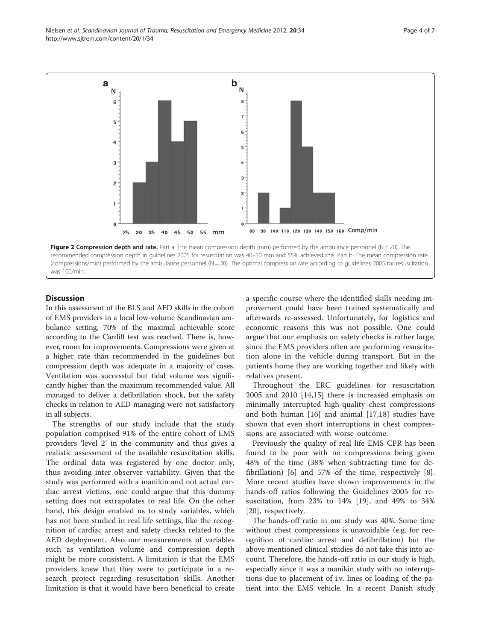<span id="page-3-0"></span>

## Discussion

In this assessment of the BLS and AED skills in the cohort of EMS providers in a local low-volume Scandinavian ambulance setting, 70% of the maximal achievable score according to the Cardiff test was reached. There is, however, room for improvements. Compressions were given at a higher rate than recommended in the guidelines but compression depth was adequate in a majority of cases. Ventilation was successful but tidal volume was significantly higher than the maximum recommended value. All managed to deliver a defibrillation shock, but the safety checks in relation to AED managing were not satisfactory in all subjects.

The strengths of our study include that the study population comprised 91% of the entire cohort of EMS providers 'level 2' in the community and thus gives a realistic assessment of the available resuscitation skills. The ordinal data was registered by one doctor only, thus avoiding inter observer variability. Given that the study was performed with a manikin and not actual cardiac arrest victims, one could argue that this dummy setting does not extrapolates to real life. On the other hand, this design enabled us to study variables, which has not been studied in real life settings, like the recognition of cardiac arrest and safety checks related to the AED deployment. Also our measurements of variables such as ventilation volume and compression depth might be more consistent. A limitation is that the EMS providers knew that they were to participate in a research project regarding resuscitation skills. Another limitation is that it would have been beneficial to create

a specific course where the identified skills needing improvement could have been trained systematically and afterwards re-assessed. Unfortunately, for logistics and economic reasons this was not possible. One could argue that our emphasis on safety checks is rather large, since the EMS providers often are performing resuscitation alone in the vehicle during transport. But in the patients home they are working together and likely with relatives present.

Throughout the ERC guidelines for resuscitation 2005 and 2010 [[14,15](#page-6-0)] there is increased emphasis on minimally interrupted high-quality chest compressions and both human [\[16](#page-6-0)] and animal [[17,18](#page-6-0)] studies have shown that even short interruptions in chest compressions are associated with worse outcome.

Previously the quality of real life EMS CPR has been found to be poor with no compressions being given 48% of the time (38% when subtracting time for defibrillation) [[6\]](#page-6-0) and 57% of the time, respectively [\[8](#page-6-0)]. More recent studies have shown improvements in the hands-off ratios following the Guidelines 2005 for resuscitation, from 23% to 14% [\[19](#page-6-0)], and 49% to 34% [[20\]](#page-6-0), respectively.

The hands-off ratio in our study was 40%. Some time without chest compressions is unavoidable (e.g. for recognition of cardiac arrest and defibrillation) but the above mentioned clinical studies do not take this into account. Therefore, the hands-off ratio in our study is high, especially since it was a manikin study with no interruptions due to placement of i.v. lines or loading of the patient into the EMS vehicle. In a recent Danish study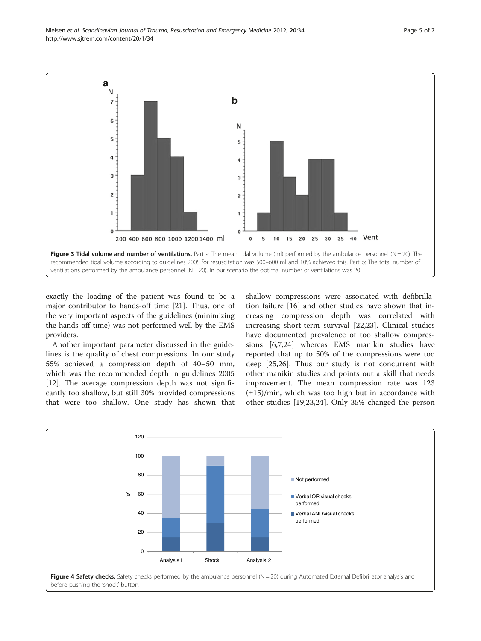<span id="page-4-0"></span>

exactly the loading of the patient was found to be a major contributor to hands-off time [[21](#page-6-0)]. Thus, one of the very important aspects of the guidelines (minimizing the hands-off time) was not performed well by the EMS providers.

Another important parameter discussed in the guidelines is the quality of chest compressions. In our study 55% achieved a compression depth of 40–50 mm, which was the recommended depth in guidelines 2005 [[12\]](#page-6-0). The average compression depth was not significantly too shallow, but still 30% provided compressions that were too shallow. One study has shown that

shallow compressions were associated with defibrillation failure [[16\]](#page-6-0) and other studies have shown that increasing compression depth was correlated with increasing short-term survival [\[22,23](#page-6-0)]. Clinical studies have documented prevalence of too shallow compressions [[6,7,24](#page-6-0)] whereas EMS manikin studies have reported that up to 50% of the compressions were too deep [[25,26\]](#page-6-0). Thus our study is not concurrent with other manikin studies and points out a skill that needs improvement. The mean compression rate was 123  $(\pm 15)/$ min, which was too high but in accordance with other studies [[19,23,24\]](#page-6-0). Only 35% changed the person

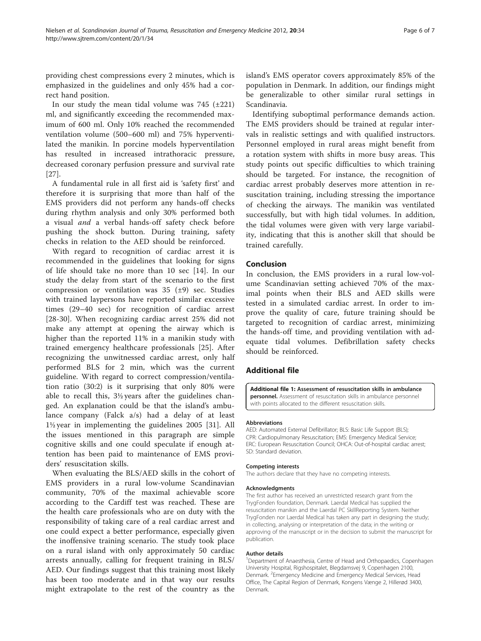providing chest compressions every 2 minutes, which is emphasized in the guidelines and only 45% had a correct hand position.

In our study the mean tidal volume was  $745$  ( $\pm 221$ ) ml, and significantly exceeding the recommended maximum of 600 ml. Only 10% reached the recommended ventilation volume (500–600 ml) and 75% hyperventilated the manikin. In porcine models hyperventilation has resulted in increased intrathoracic pressure, decreased coronary perfusion pressure and survival rate [[27\]](#page-6-0).

A fundamental rule in all first aid is 'safety first' and therefore it is surprising that more than half of the EMS providers did not perform any hands-off checks during rhythm analysis and only 30% performed both a visual and a verbal hands-off safety check before pushing the shock button. During training, safety checks in relation to the AED should be reinforced.

With regard to recognition of cardiac arrest it is recommended in the guidelines that looking for signs of life should take no more than 10 sec [\[14](#page-6-0)]. In our study the delay from start of the scenario to the first compression or ventilation was  $35$  ( $\pm$ 9) sec. Studies with trained laypersons have reported similar excessive times (29–40 sec) for recognition of cardiac arrest [[28-30](#page-6-0)]. When recognizing cardiac arrest 25% did not make any attempt at opening the airway which is higher than the reported 11% in a manikin study with trained emergency healthcare professionals [[25\]](#page-6-0). After recognizing the unwitnessed cardiac arrest, only half performed BLS for 2 min, which was the current guideline. With regard to correct compression/ventilation ratio (30:2) is it surprising that only 80% were able to recall this, 3½ years after the guidelines changed. An explanation could be that the island's ambulance company (Falck a/s) had a delay of at least 1½ year in implementing the guidelines 2005 [\[31](#page-6-0)]. All the issues mentioned in this paragraph are simple cognitive skills and one could speculate if enough attention has been paid to maintenance of EMS providers' resuscitation skills.

When evaluating the BLS/AED skills in the cohort of EMS providers in a rural low-volume Scandinavian community, 70% of the maximal achievable score according to the Cardiff test was reached. These are the health care professionals who are on duty with the responsibility of taking care of a real cardiac arrest and one could expect a better performance, especially given the inoffensive training scenario. The study took place on a rural island with only approximately 50 cardiac arrests annually, calling for frequent training in BLS/ AED. Our findings suggest that this training most likely has been too moderate and in that way our results might extrapolate to the rest of the country as the

island's EMS operator covers approximately 85% of the population in Denmark. In addition, our findings might be generalizable to other similar rural settings in Scandinavia.

Identifying suboptimal performance demands action. The EMS providers should be trained at regular intervals in realistic settings and with qualified instructors. Personnel employed in rural areas might benefit from a rotation system with shifts in more busy areas. This study points out specific difficulties to which training should be targeted. For instance, the recognition of cardiac arrest probably deserves more attention in resuscitation training, including stressing the importance of checking the airways. The manikin was ventilated successfully, but with high tidal volumes. In addition, the tidal volumes were given with very large variability, indicating that this is another skill that should be trained carefully.

## Conclusion

In conclusion, the EMS providers in a rural low-volume Scandinavian setting achieved 70% of the maximal points when their BLS and AED skills were tested in a simulated cardiac arrest. In order to improve the quality of care, future training should be targeted to recognition of cardiac arrest, minimizing the hands-off time, and providing ventilation with adequate tidal volumes. Defibrillation safety checks should be reinforced.

#### Additional file

[Additional file 1:](www.biomedcentral.com/supplementary/1757-7241-20-34-S1.pdf) Assessment of resuscitation skills in ambulance personnel. Assessment of resuscitation skills in ambulance personnel with points allocated to the different resuscitation skills.

#### Abbreviations

AED: Automated External Defibrillator; BLS: Basic Life Support (BLS); CPR: Cardiopulmonary Resuscitation; EMS: Emergency Medical Service; ERC: European Resuscitation Council; OHCA: Out-of-hospital cardiac arrest; SD: Standard deviation.

#### Competing interests

The authors declare that they have no competing interests.

#### Acknowledgments

The first author has received an unrestricted research grant from the TrygFonden foundation, Denmark. Laerdal Medical has supplied the resuscitation manikin and the Laerdal PC SkillReporting System. Neither TrygFonden nor Laerdal Medical has taken any part in designing the study; in collecting, analysing or interpretation of the data; in the writing or approving of the manuscript or in the decision to submit the manuscript for publication.

#### Author details

<sup>1</sup>Department of Anaesthesia, Centre of Head and Orthopaedics, Copenhagen University Hospital, Rigshospitalet, Blegdamsvej 9, Copenhagen 2100, Denmark. <sup>2</sup> Emergency Medicine and Emergency Medical Services, Head Office, The Capital Region of Denmark, Kongens Vænge 2, Hillerød 3400, Denmark.